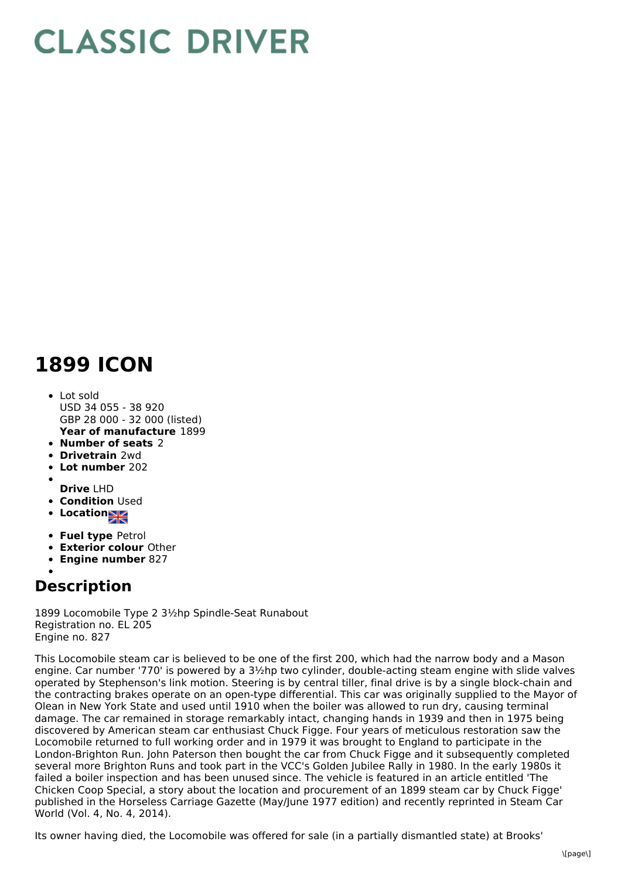## **CLASSIC DRIVER**

## **1899 ICON**

- **Year of manufacture** 1899 Lot sold USD 34 055 - 38 920 GBP 28 000 - 32 000 (listed)
- **Number of seats** 2
- **Drivetrain** 2wd
- **Lot number** 202
- **Drive** LHD
- **Condition Used**
- Location
- **Fuel type** Petrol
- **Exterior colour** Other
- **Engine number** 827
- 

## **Description**

1899 Locomobile Type 2 3½hp Spindle-Seat Runabout Registration no. EL 205 Engine no. 827

This Locomobile steam car is believed to be one of the first 200, which had the narrow body and a Mason engine. Car number '770' is powered by a 3½hp two cylinder, double-acting steam engine with slide valves operated by Stephenson's link motion. Steering is by central tiller, final drive is by a single block-chain and the contracting brakes operate on an open-type differential. This car was originally supplied to the Mayor of Olean in New York State and used until 1910 when the boiler was allowed to run dry, causing terminal damage. The car remained in storage remarkably intact, changing hands in 1939 and then in 1975 being discovered by American steam car enthusiast Chuck Figge. Four years of meticulous restoration saw the Locomobile returned to full working order and in 1979 it was brought to England to participate in the London-Brighton Run. John Paterson then bought the car from Chuck Figge and it subsequently completed several more Brighton Runs and took part in the VCC's Golden Jubilee Rally in 1980. In the early 1980s it failed a boiler inspection and has been unused since. The vehicle is featured in an article entitled 'The Chicken Coop Special, a story about the location and procurement of an 1899 steam car by Chuck Figge' published in the Horseless Carriage Gazette (May/June 1977 edition) and recently reprinted in Steam Car World (Vol. 4, No. 4, 2014).

Its owner having died, the Locomobile was offered for sale (in a partially dismantled state) at Brooks'